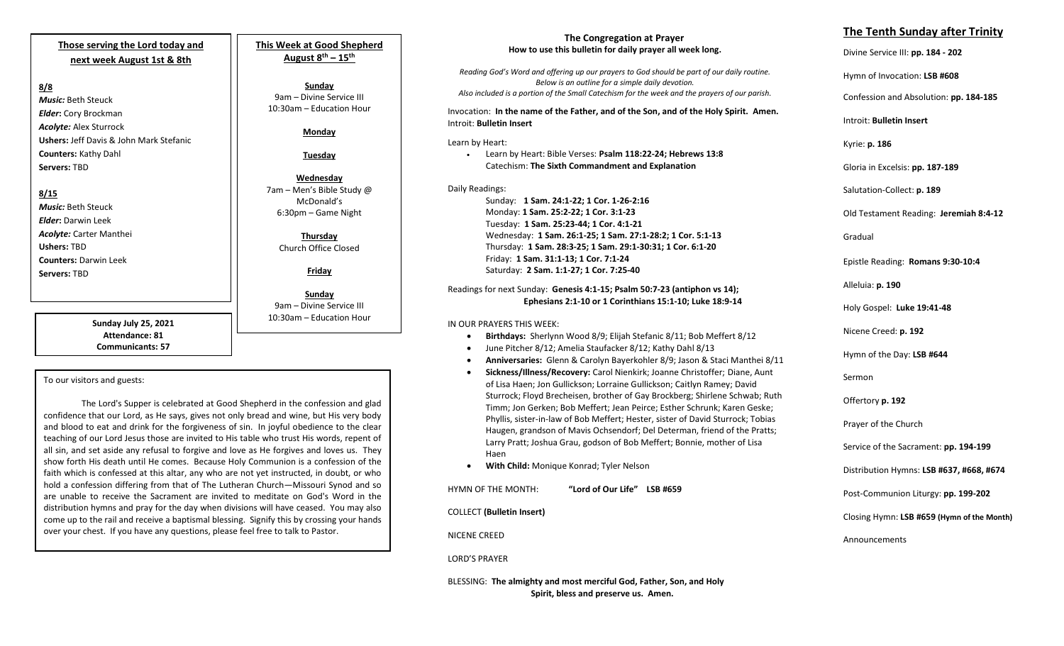# **Those serving the Lord today and next week August 1st & 8th**

# **8/8**

*Music:* Beth Steuck *Elder***:** Cory Brockman *Acolyte:* Alex Sturrock **Ushers:** Jeff Davis & John Mark Stefanic **Counters:** Kathy Dahl **Servers:** TBD

## **8/15**

*Music:* Beth Steuck *Elder***:** Darwin Leek *Acolyte:* Carter Manthei **Ushers:** TBD **Counters:** Darwin Leek **Servers:** TBD

> **Sunday July 25, 2021 Attendance: 81 Communicants: 57**

## To our visitors and guests:

The Lord's Supper is celebrated at Good Shepherd in the confession and glad confidence that our Lord, as He says, gives not only bread and wine, but His very body and blood to eat and drink for the forgiveness of sin. In joyful obedience to the clear teaching of our Lord Jesus those are invited to His table who trust His words, repent of all sin, and set aside any refusal to forgive and love as He forgives and loves us. They show forth His death until He comes. Because Holy Communion is a confession of the faith which is confessed at this altar, any who are not yet instructed, in doubt, or who hold a confession differing from that of The Lutheran Church—Missouri Synod and so are unable to receive the Sacrament are invited to meditate on God's Word in the distribution hymns and pray for the day when divisions will have ceased. You may also come up to the rail and receive a baptismal blessing. Signify this by crossing your hands over your chest. If you have any questions, please feel free to talk to Pastor.

**This Week at Good Shepherd August 8 th – 15th**

**Sunday** 9am – Divine Service III 10:30am – Education Hour

#### **Monday**

**Tuesday**

**Wednesday** 7am – Men's Bible Study @ McDonald's 6:30pm – Game Night

> **Thursday** Church Office Closed

> > **Friday**

**Sunday**  9am – Divine Service III 10:30am – Education Hour

## **The Congregation at Prayer How to use this bulletin for daily prayer all week long.**

*Reading God's Word and offering up our prayers to God should be part of our daily routine. Below is an outline for a simple daily devotion. Also included is a portion of the Small Catechism for the week and the prayers of our parish.*

Invocation: **In the name of the Father, and of the Son, and of the Holy Spirit. Amen.** Introit: **Bulletin Insert**

Learn by Heart:

• Learn by Heart: Bible Verses: **Psalm 118:22-24; Hebrews 13:8** Catechism: **The Sixth Commandment and Explanation**

Daily Readings: Sunday: **1 Sam. 24:1-22; 1 Cor. 1-26-2:16** Monday: **1 Sam. 25:2-22; 1 Cor. 3:1-23** Tuesday: **1 Sam. 25:23-44; 1 Cor. 4:1-21** Wednesday: **1 Sam. 26:1-25; 1 Sam. 27:1-28:2; 1 Cor. 5:1-13** Thursday: **1 Sam. 28:3-25; 1 Sam. 29:1-30:31; 1 Cor. 6:1-20** Friday: **1 Sam. 31:1-13; 1 Cor. 7:1-24** Saturday: **2 Sam. 1:1-27; 1 Cor. 7:25-40**

## Readings for next Sunday: **Genesis 4:1-15; Psalm 50:7-23 (antiphon vs 14); Ephesians 2:1-10 or 1 Corinthians 15:1-10; Luke 18:9-14**

## IN OUR PRAYERS THIS WEEK:

- **Birthdays:** Sherlynn Wood 8/9; Elijah Stefanic 8/11; Bob Meffert 8/12
- June Pitcher 8/12; Amelia Staufacker 8/12; Kathy Dahl 8/13
- **Anniversaries:** Glenn & Carolyn Bayerkohler 8/9; Jason & Staci Manthei 8/11
- **Sickness/Illness/Recovery:** Carol Nienkirk; Joanne Christoffer; Diane, Aunt of Lisa Haen; Jon Gullickson; Lorraine Gullickson; Caitlyn Ramey; David Sturrock; Floyd Brecheisen, brother of Gay Brockberg; Shirlene Schwab; Ruth Timm; Jon Gerken; Bob Meffert; Jean Peirce; Esther Schrunk; Karen Geske; Phyllis, sister-in-law of Bob Meffert; Hester, sister of David Sturrock; Tobias Haugen, grandson of Mavis Ochsendorf; Del Determan, friend of the Pratts; Larry Pratt; Joshua Grau, godson of Bob Meffert; Bonnie, mother of Lisa Haen
- **With Child:** Monique Konrad; Tyler Nelson

HYMN OF THE MONTH: **"Lord of Our Life" LSB #659**

COLLECT **(Bulletin Insert)**

NICENE CREED

LORD'S PRAYER

BLESSING: **The almighty and most merciful God, Father, Son, and Holy Spirit, bless and preserve us. Amen.**

## **The Tenth Sunday after Trinity**

Divine Service III: **pp. 184 - 202**

Hymn of Invocation: **LSB #608**

Confession and Absolution: **pp. 184-185**

Introit: **Bulletin Insert** 

Kyrie: **p. 186**

Gloria in Excelsis: **pp. 187-189**

Salutation-Collect: **p. 189**

Old Testament Reading: **Jeremiah 8:4-12**

Gradual

Epistle Reading: **Romans 9:30-10:4**

Alleluia: **p. 190**

Holy Gospel: **Luke 19:41-48**

Nicene Creed: **p. 192**

Hymn of the Day: **LSB #644**

Sermon

Offertory **p. 192**

Prayer of the Church

Service of the Sacrament: **pp. 194-199**

Distribution Hymns: **LSB #637, #668, #674**

Post-Communion Liturgy: **pp. 199-202** 

Closing Hymn: **LSB #659 (Hymn of the Month)**

Announcements